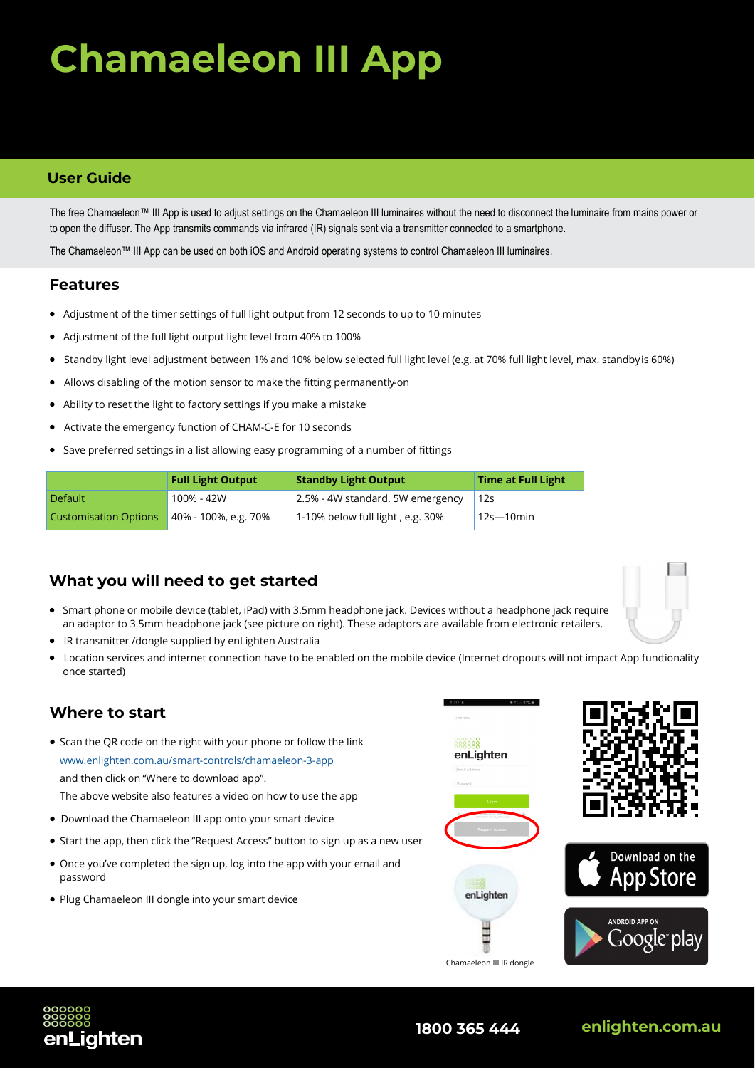# **Chamaeleon III App**

#### **User Guide**

The free Chamaeleon™ III App is used to adjust settings on the Chamaeleon III luminaires without the need to disconnect the luminaire from mains power or to open the diffuser. The App transmits commands via infrared (IR) signals sent via a transmitter connected to a smartphone.

The Chamaeleon™ III App can be used on both iOS and Android operating systems to control Chamaeleon III luminaires.

#### **Features**

- Adjustment of the timer settings of full light output from 12 seconds to up to 10 minutes
- Adjustment of the full light output light level from 40% to 100%
- Standby light level adjustment between 1% and 10% below selected full light level (e.g. at 70% full light level, max. standbyis 60%)
- Allows disabling of the motion sensor to make the fitting permanently-on
- Ability to reset the light to factory settings if you make a mistake
- Activate the emergency function of CHAM-C-E for 10 seconds
- Save preferred settings in a list allowing easy programming of a number of fittings

|                              | <b>Full Light Output</b> | <b>Standby Light Output</b>       | <b>Time at Full Light</b> |
|------------------------------|--------------------------|-----------------------------------|---------------------------|
| <b>Default</b>               | 100% - 42W               | 2.5% - 4W standard. 5W emergency  | 12s                       |
| <b>Customisation Options</b> | 40% - 100%, e.g. 70%     | 1-10% below full light , e.g. 30% | 12s—10min                 |

#### **What you will need to get started**

- Smart phone or mobile device (tablet, iPad) with 3.5mm headphone jack. Devices without a headphone jack require an adaptor to 3.5mm headphone jack (see picture on right). These adaptors are available from electronic retailers.
- IR transmitter /dongle supplied by enLighten Australia
- Location services and internet connection have to be enabled on the mobile device (Internet dropouts will not impact App fundionality once started)

#### **Where to start**

- Scan the QR code on the right with your phone or follow the link [www.enlighten.com.au/smart](www.enlighten.com.au/smart-controls/chamaeleon-3-app)-controls/chamaeleon-3-app and then click on "Where to download app". The above website also features a video on how to use the app
- Download the Chamaeleon III app onto your smart device
- Start the app, then click the "Request Access" button to sign up as a new user
- Once you've completed the sign up, log into the app with your email and password
- Plug Chamaeleon III dongle into your smart device